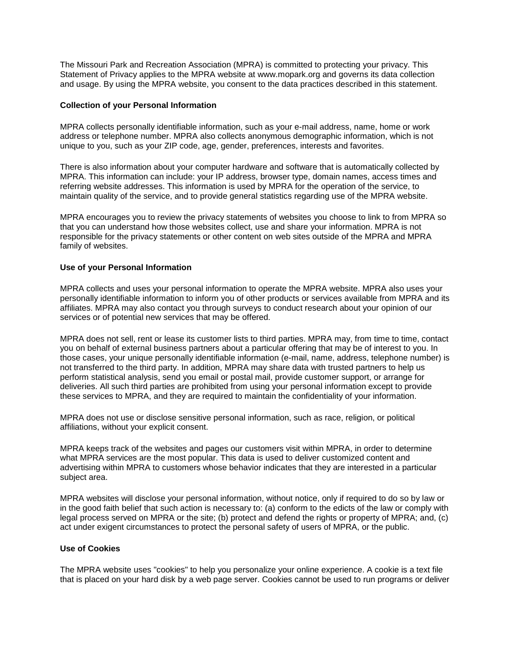The Missouri Park and Recreation Association (MPRA) is committed to protecting your privacy. This Statement of Privacy applies to the MPRA website at www.mopark.org and governs its data collection and usage. By using the MPRA website, you consent to the data practices described in this statement.

#### **Collection of your Personal Information**

MPRA collects personally identifiable information, such as your e-mail address, name, home or work address or telephone number. MPRA also collects anonymous demographic information, which is not unique to you, such as your ZIP code, age, gender, preferences, interests and favorites.

There is also information about your computer hardware and software that is automatically collected by MPRA. This information can include: your IP address, browser type, domain names, access times and referring website addresses. This information is used by MPRA for the operation of the service, to maintain quality of the service, and to provide general statistics regarding use of the MPRA website.

MPRA encourages you to review the privacy statements of websites you choose to link to from MPRA so that you can understand how those websites collect, use and share your information. MPRA is not responsible for the privacy statements or other content on web sites outside of the MPRA and MPRA family of websites.

#### **Use of your Personal Information**

MPRA collects and uses your personal information to operate the MPRA website. MPRA also uses your personally identifiable information to inform you of other products or services available from MPRA and its affiliates. MPRA may also contact you through surveys to conduct research about your opinion of our services or of potential new services that may be offered.

MPRA does not sell, rent or lease its customer lists to third parties. MPRA may, from time to time, contact you on behalf of external business partners about a particular offering that may be of interest to you. In those cases, your unique personally identifiable information (e-mail, name, address, telephone number) is not transferred to the third party. In addition, MPRA may share data with trusted partners to help us perform statistical analysis, send you email or postal mail, provide customer support, or arrange for deliveries. All such third parties are prohibited from using your personal information except to provide these services to MPRA, and they are required to maintain the confidentiality of your information.

MPRA does not use or disclose sensitive personal information, such as race, religion, or political affiliations, without your explicit consent.

MPRA keeps track of the websites and pages our customers visit within MPRA, in order to determine what MPRA services are the most popular. This data is used to deliver customized content and advertising within MPRA to customers whose behavior indicates that they are interested in a particular subject area.

MPRA websites will disclose your personal information, without notice, only if required to do so by law or in the good faith belief that such action is necessary to: (a) conform to the edicts of the law or comply with legal process served on MPRA or the site; (b) protect and defend the rights or property of MPRA; and, (c) act under exigent circumstances to protect the personal safety of users of MPRA, or the public.

### **Use of Cookies**

The MPRA website uses "cookies" to help you personalize your online experience. A cookie is a text file that is placed on your hard disk by a web page server. Cookies cannot be used to run programs or deliver